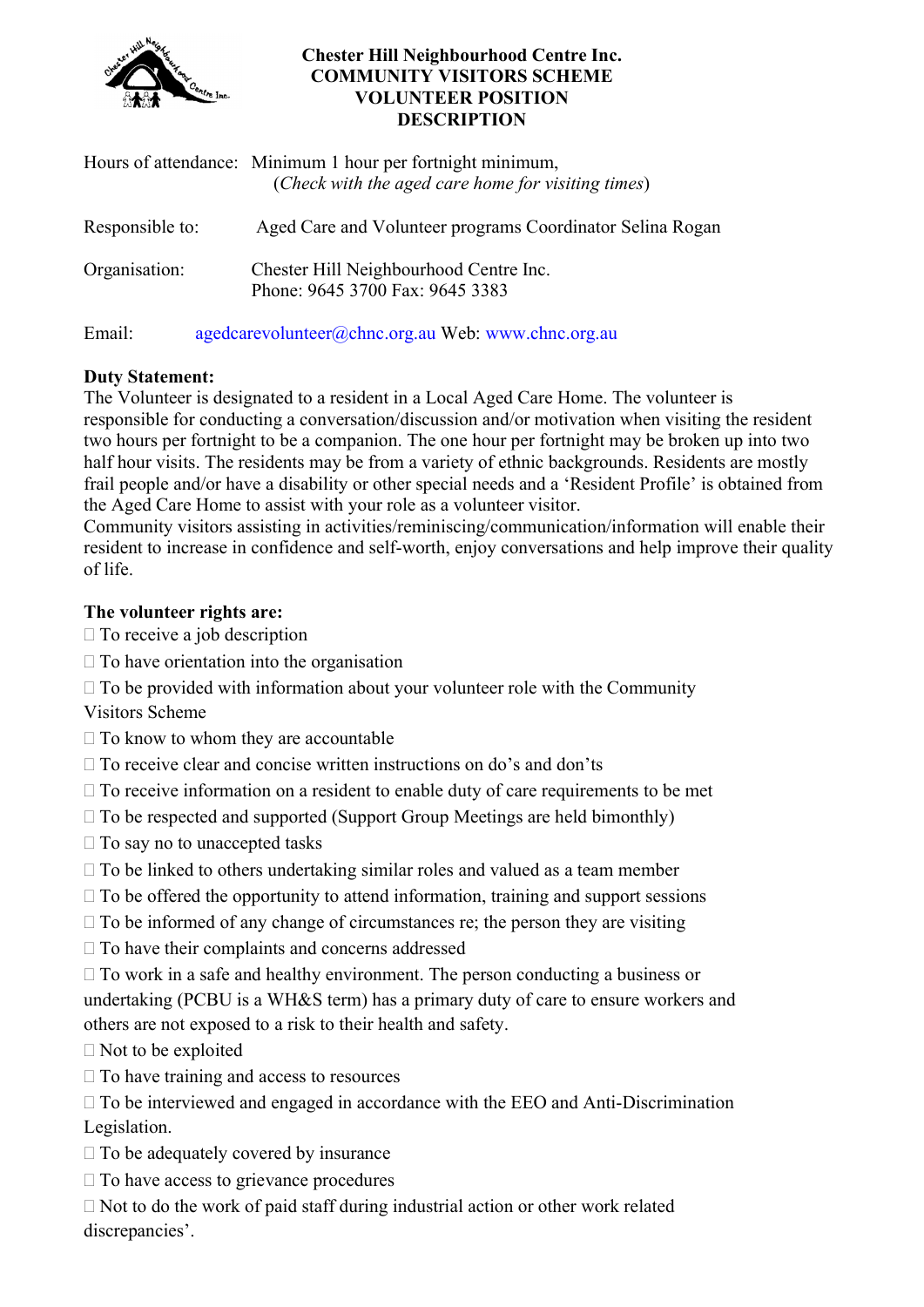

#### Chester Hill Neighbourhood Centre Inc. COMMUNITY VISITORS SCHEME VOLUNTEER POSITION **DESCRIPTION**

|                 | Hours of attendance: Minimum 1 hour per fortnight minimum,<br>(Check with the aged care home for visiting times) |
|-----------------|------------------------------------------------------------------------------------------------------------------|
| Responsible to: | Aged Care and Volunteer programs Coordinator Selina Rogan                                                        |
| Organisation:   | Chester Hill Neighbourhood Centre Inc.<br>Phone: 9645 3700 Fax: 9645 3383                                        |
| Email:          | agedcarevolunteer@chnc.org.au Web: www.chnc.org.au                                                               |

## Duty Statement:

The Volunteer is designated to a resident in a Local Aged Care Home. The volunteer is responsible for conducting a conversation/discussion and/or motivation when visiting the resident two hours per fortnight to be a companion. The one hour per fortnight may be broken up into two half hour visits. The residents may be from a variety of ethnic backgrounds. Residents are mostly frail people and/or have a disability or other special needs and a 'Resident Profile' is obtained from the Aged Care Home to assist with your role as a volunteer visitor.

Community visitors assisting in activities/reminiscing/communication/information will enable their resident to increase in confidence and self-worth, enjoy conversations and help improve their quality of life.

## The volunteer rights are:

- $\Box$  To receive a job description
- $\square$  To have orientation into the organisation
- $\Box$  To be provided with information about your volunteer role with the Community

Visitors Scheme

- $\Box$  To know to whom they are accountable
- $\Box$  To receive clear and concise written instructions on do's and don'ts
- $\Box$  To receive information on a resident to enable duty of care requirements to be met
- $\Box$  To be respected and supported (Support Group Meetings are held bimonthly)
- $\Box$  To say no to unaccepted tasks
- $\Box$  To be linked to others undertaking similar roles and valued as a team member
- $\Box$  To be offered the opportunity to attend information, training and support sessions
- $\Box$  To be informed of any change of circumstances re; the person they are visiting
- $\Box$  To have their complaints and concerns addressed
- $\Box$  To work in a safe and healthy environment. The person conducting a business or undertaking (PCBU is a WH&S term) has a primary duty of care to ensure workers and others are not exposed to a risk to their health and safety.
- $\Box$  Not to be exploited
- $\Box$  To have training and access to resources
- $\Box$  To be interviewed and engaged in accordance with the EEO and Anti-Discrimination Legislation.
- $\Box$  To be adequately covered by insurance
- $\Box$  To have access to grievance procedures
- $\Box$  Not to do the work of paid staff during industrial action or other work related discrepancies'.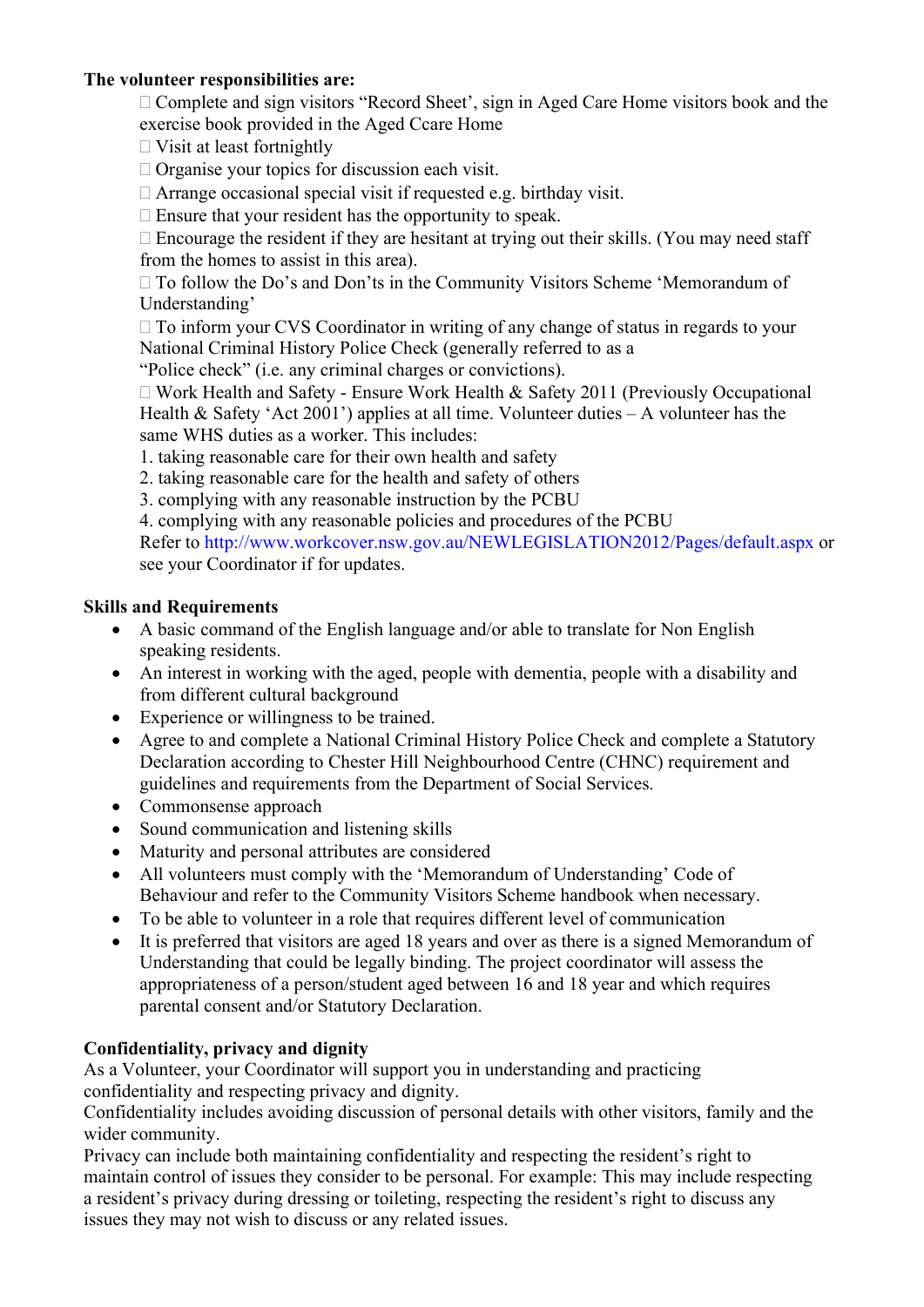### The volunteer responsibilities are:

 $\Box$  Complete and sign visitors "Record Sheet', sign in Aged Care Home visitors book and the exercise book provided in the Aged Ccare Home

- $\Box$  Visit at least fortnightly
- $\Box$  Organise your topics for discussion each visit.

Arrange occasional special visit if requested e.g. birthday visit.

 $\Box$  Ensure that your resident has the opportunity to speak.

 $\Box$  Encourage the resident if they are hesitant at trying out their skills. (You may need staff from the homes to assist in this area).

To follow the Do's and Don'ts in the Community Visitors Scheme 'Memorandum of Understanding'

 $\Box$  To inform your CVS Coordinator in writing of any change of status in regards to your National Criminal History Police Check (generally referred to as a

"Police check" (i.e. any criminal charges or convictions).

 $\Box$  Work Health and Safety - Ensure Work Health & Safety 2011 (Previously Occupational Health & Safety 'Act 2001') applies at all time. Volunteer duties – A volunteer has the same WHS duties as a worker. This includes:

1. taking reasonable care for their own health and safety

2. taking reasonable care for the health and safety of others

3. complying with any reasonable instruction by the PCBU

4. complying with any reasonable policies and procedures of the PCBU

Refer to http://www.workcover.nsw.gov.au/NEWLEGISLATION2012/Pages/default.aspx or see your Coordinator if for updates.

### Skills and Requirements

- A basic command of the English language and/or able to translate for Non English speaking residents.
- An interest in working with the aged, people with dementia, people with a disability and from different cultural background
- Experience or willingness to be trained.
- Agree to and complete a National Criminal History Police Check and complete a Statutory Declaration according to Chester Hill Neighbourhood Centre (CHNC) requirement and guidelines and requirements from the Department of Social Services.
- Commonsense approach
- Sound communication and listening skills
- Maturity and personal attributes are considered
- All volunteers must comply with the 'Memorandum of Understanding' Code of Behaviour and refer to the Community Visitors Scheme handbook when necessary.
- To be able to volunteer in a role that requires different level of communication
- It is preferred that visitors are aged 18 years and over as there is a signed Memorandum of Understanding that could be legally binding. The project coordinator will assess the appropriateness of a person/student aged between 16 and 18 year and which requires parental consent and/or Statutory Declaration.

# Confidentiality, privacy and dignity

As a Volunteer, your Coordinator will support you in understanding and practicing confidentiality and respecting privacy and dignity.

Confidentiality includes avoiding discussion of personal details with other visitors, family and the wider community.

Privacy can include both maintaining confidentiality and respecting the resident's right to maintain control of issues they consider to be personal. For example: This may include respecting a resident's privacy during dressing or toileting, respecting the resident's right to discuss any issues they may not wish to discuss or any related issues.